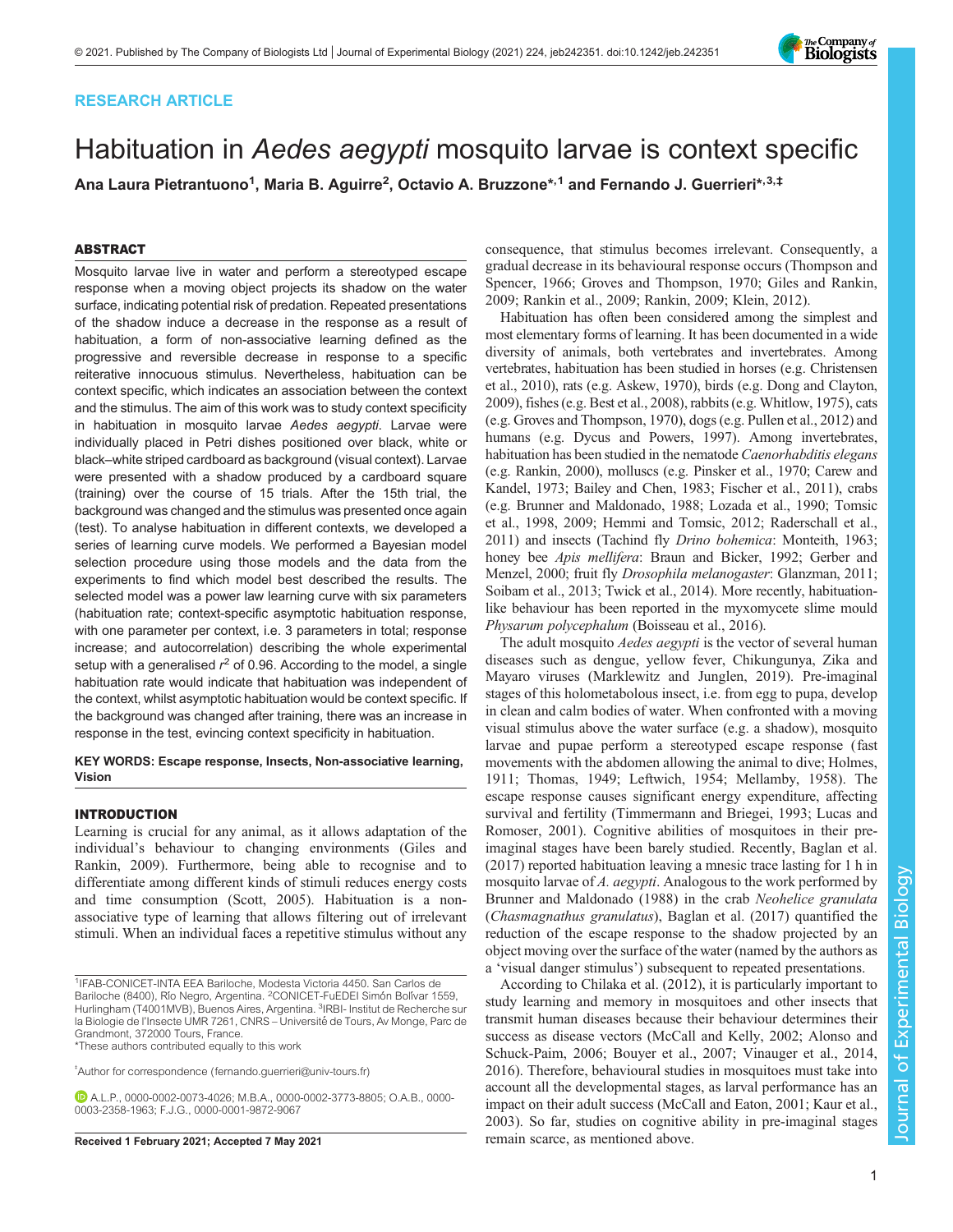# RESEARCH ARTICLE

# Habituation in Aedes aegypti mosquito larvae is context specific

Ana Laura Pietrantuono<sup>1</sup>, Maria B. Aguirre<sup>2</sup>, Octavio A. Bruzzone\*<sup>,1</sup> and Fernando J. Guerrieri\*<sup>,3,‡</sup>

# ABSTRACT

Mosquito larvae live in water and perform a stereotyped escape response when a moving object projects its shadow on the water surface, indicating potential risk of predation. Repeated presentations of the shadow induce a decrease in the response as a result of habituation, a form of non-associative learning defined as the progressive and reversible decrease in response to a specific reiterative innocuous stimulus. Nevertheless, habituation can be context specific, which indicates an association between the context and the stimulus. The aim of this work was to study context specificity in habituation in mosquito larvae Aedes aegypti. Larvae were individually placed in Petri dishes positioned over black, white or black–white striped cardboard as background (visual context). Larvae were presented with a shadow produced by a cardboard square (training) over the course of 15 trials. After the 15th trial, the background was changed and the stimulus was presented once again (test). To analyse habituation in different contexts, we developed a series of learning curve models. We performed a Bayesian model selection procedure using those models and the data from the experiments to find which model best described the results. The selected model was a power law learning curve with six parameters (habituation rate; context-specific asymptotic habituation response, with one parameter per context, i.e. 3 parameters in total; response increase; and autocorrelation) describing the whole experimental setup with a generalised  $r^2$  of 0.96. According to the model, a single habituation rate would indicate that habituation was independent of the context, whilst asymptotic habituation would be context specific. If the background was changed after training, there was an increase in response in the test, evincing context specificity in habituation.

KEY WORDS: Escape response, Insects, Non-associative learning, Vision

# INTRODUCTION

Learning is crucial for any animal, as it allows adaptation of the individual's behaviour to changing environments ([Giles and](#page-6-0) [Rankin, 2009\)](#page-6-0). Furthermore, being able to recognise and to differentiate among different kinds of stimuli reduces energy costs and time consumption ([Scott, 2005\)](#page-7-0). Habituation is a nonassociative type of learning that allows filtering out of irrelevant stimuli. When an individual faces a repetitive stimulus without any

\*These authors contributed equally to this work

‡ Author for correspondence ([fernando.guerrieri@univ-tours.fr\)](mailto:fernando.guerrieri@univ-tours.fr)

consequence, that stimulus becomes irrelevant. Consequently, a gradual decrease in its behavioural response occurs ([Thompson and](#page-7-0) [Spencer, 1966](#page-7-0); [Groves and Thompson, 1970](#page-6-0); [Giles and Rankin,](#page-6-0) [2009;](#page-6-0) [Rankin et al., 2009; Rankin, 2009; Klein, 2012\)](#page-7-0).

Habituation has often been considered among the simplest and most elementary forms of learning. It has been documented in a wide diversity of animals, both vertebrates and invertebrates. Among vertebrates, habituation has been studied in horses (e.g. [Christensen](#page-6-0) [et al., 2010\)](#page-6-0), rats (e.g. [Askew, 1970\)](#page-6-0), birds (e.g. [Dong and Clayton,](#page-6-0) [2009\)](#page-6-0), fishes (e.g. [Best et al., 2008\)](#page-6-0), rabbits (e.g. [Whitlow, 1975\)](#page-7-0), cats (e.g. [Groves and Thompson, 1970\)](#page-6-0), dogs (e.g. [Pullen et al., 2012\)](#page-7-0) and humans (e.g. [Dycus and Powers, 1997](#page-6-0)). Among invertebrates, habituation has been studied in the nematode Caenorhabditis elegans (e.g. [Rankin, 2000](#page-7-0)), molluscs (e.g. [Pinsker et al., 1970](#page-7-0); [Carew and](#page-6-0) [Kandel, 1973](#page-6-0); [Bailey and Chen, 1983; Fischer et al., 2011](#page-6-0)), crabs (e.g. [Brunner and Maldonado, 1988;](#page-6-0) [Lozada et al., 1990](#page-7-0); [Tomsic](#page-7-0) [et al., 1998](#page-7-0), [2009;](#page-7-0) [Hemmi and Tomsic, 2012;](#page-6-0) [Raderschall et al.,](#page-7-0) [2011\)](#page-7-0) and insects (Tachind fly Drino bohemica: [Monteith, 1963](#page-7-0); honey bee Apis mellifera: [Braun and Bicker, 1992](#page-6-0); [Gerber and](#page-6-0) [Menzel, 2000](#page-6-0); fruit fly Drosophila melanogaster: [Glanzman, 2011](#page-6-0); [Soibam et al., 2013; Twick et al., 2014\)](#page-7-0). More recently, habituationlike behaviour has been reported in the myxomycete slime mould Physarum polycephalum ([Boisseau et al., 2016](#page-6-0)).

The adult mosquito *Aedes aegypti* is the vector of several human diseases such as dengue, yellow fever, Chikungunya, Zika and Mayaro viruses [\(Marklewitz and Junglen, 2019\)](#page-7-0). Pre-imaginal stages of this holometabolous insect, i.e. from egg to pupa, develop in clean and calm bodies of water. When confronted with a moving visual stimulus above the water surface (e.g. a shadow), mosquito larvae and pupae perform a stereotyped escape response (fast movements with the abdomen allowing the animal to dive; [Holmes,](#page-7-0) [1911; Thomas, 1949](#page-7-0); [Leftwich, 1954](#page-7-0); [Mellamby, 1958](#page-7-0)). The escape response causes significant energy expenditure, affecting survival and fertility [\(Timmermann and Briegei, 1993](#page-7-0); [Lucas and](#page-7-0) [Romoser, 2001\)](#page-7-0). Cognitive abilities of mosquitoes in their preimaginal stages have been barely studied. Recently, [Baglan et al.](#page-6-0) [\(2017\)](#page-6-0) reported habituation leaving a mnesic trace lasting for 1 h in mosquito larvae of A. aegypti. Analogous to the work performed by [Brunner and Maldonado \(1988\)](#page-6-0) in the crab Neohelice granulata (Chasmagnathus granulatus), [Baglan et al. \(2017\)](#page-6-0) quantified the reduction of the escape response to the shadow projected by an object moving over the surface of the water (named by the authors as a 'visual danger stimulus') subsequent to repeated presentations.

According to [Chilaka et al. \(2012\)](#page-6-0), it is particularly important to study learning and memory in mosquitoes and other insects that transmit human diseases because their behaviour determines their success as disease vectors [\(McCall and Kelly, 2002](#page-7-0); [Alonso and](#page-6-0) [Schuck-Paim, 2006](#page-6-0); [Bouyer et al., 2007;](#page-6-0) [Vinauger et al., 2014,](#page-7-0) [2016\)](#page-7-0). Therefore, behavioural studies in mosquitoes must take into account all the developmental stages, as larval performance has an impact on their adult success ([McCall and Eaton, 2001; Kaur et al.,](#page-7-0) [2003\)](#page-7-0). So far, studies on cognitive ability in pre-imaginal stages Received 1 February 2021; Accepted 7 May 2021 remain scarce, as mentioned above.



<sup>1</sup>IFAB-CONICET-INTA EEA Bariloche, Modesta Victoria 4450. San Carlos de Bariloche (8400), Río Negro, Argentina. <sup>2</sup>CONICET-FuEDEI Simón Bolívar 1559, Hurlingham (T4001MVB), Buenos Aires, Argentina. <sup>3</sup>IRBI- Institut de Recherche sur la Biologie de l'Insecte UMR 7261, CNRS – Université de Tours, Av Monge, Parc de Grandmont, 372000 Tours, France.

A.L.P., [0000-0002-0073-4026;](http://orcid.org/0000-0002-0073-4026) M.B.A., [0000-0002-3773-8805](http://orcid.org/0000-0002-3773-8805); O.A.B., [0000-](http://orcid.org/0000-0003-2358-1963) [0003-2358-1963;](http://orcid.org/0000-0003-2358-1963) F.J.G., [0000-0001-9872-9067](http://orcid.org/0000-0001-9872-9067)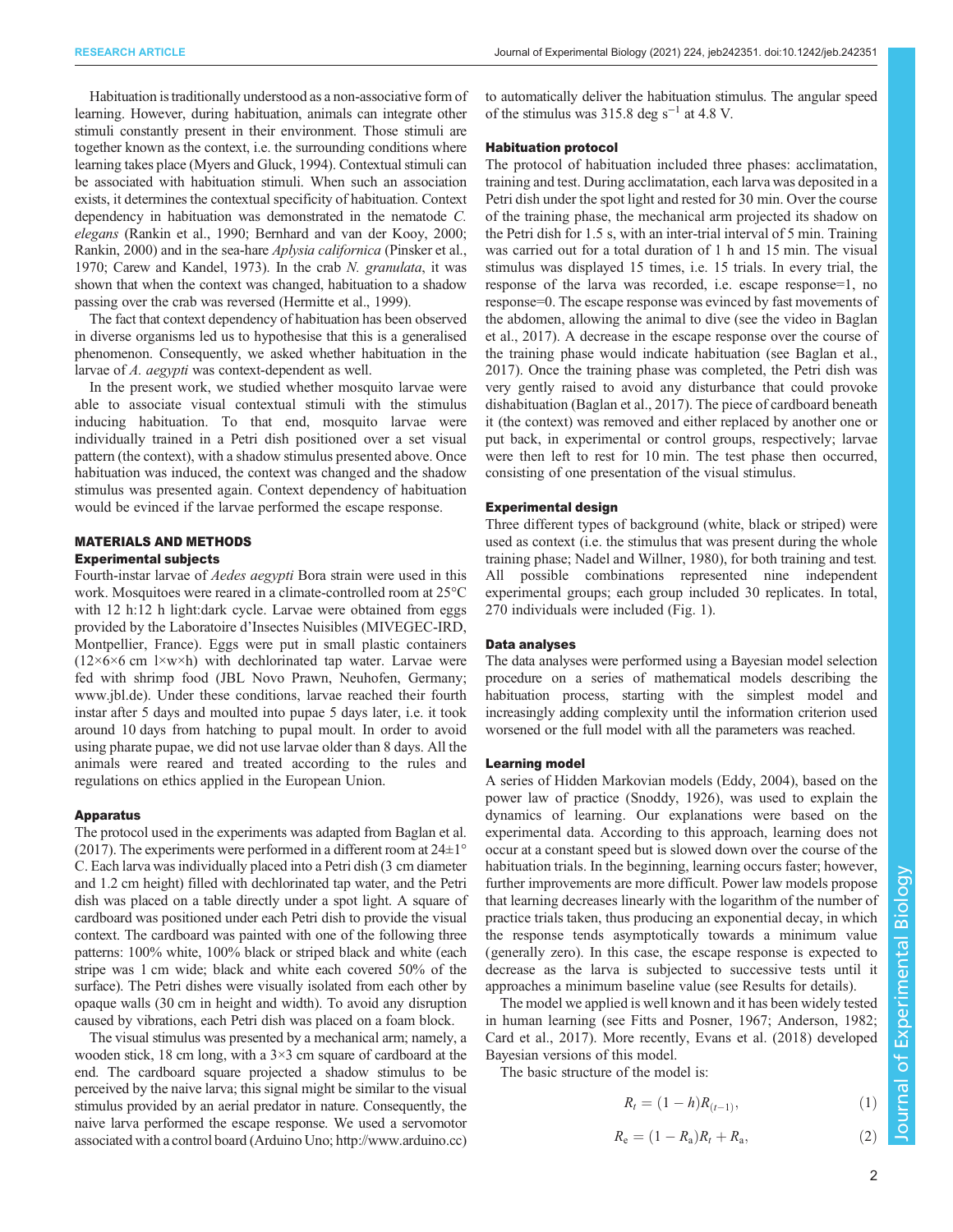Habituation is traditionally understood as a non-associative form of learning. However, during habituation, animals can integrate other stimuli constantly present in their environment. Those stimuli are together known as the context, i.e. the surrounding conditions where learning takes place ([Myers and Gluck, 1994\)](#page-7-0). Contextual stimuli can be associated with habituation stimuli. When such an association exists, it determines the contextual specificity of habituation. Context dependency in habituation was demonstrated in the nematode C. elegans [\(Rankin et al., 1990;](#page-7-0) [Bernhard and van der Kooy, 2000](#page-6-0); [Rankin, 2000](#page-7-0)) and in the sea-hare *Aplysia californica* [\(Pinsker et al.,](#page-7-0) [1970;](#page-7-0) [Carew and Kandel, 1973](#page-6-0)). In the crab N. granulata, it was shown that when the context was changed, habituation to a shadow passing over the crab was reversed [\(Hermitte et al., 1999](#page-6-0)).

The fact that context dependency of habituation has been observed in diverse organisms led us to hypothesise that this is a generalised phenomenon. Consequently, we asked whether habituation in the larvae of A. aegypti was context-dependent as well.

In the present work, we studied whether mosquito larvae were able to associate visual contextual stimuli with the stimulus inducing habituation. To that end, mosquito larvae were individually trained in a Petri dish positioned over a set visual pattern (the context), with a shadow stimulus presented above. Once habituation was induced, the context was changed and the shadow stimulus was presented again. Context dependency of habituation would be evinced if the larvae performed the escape response.

# MATERIALS AND METHODS

# Experimental subjects

Fourth-instar larvae of Aedes aegypti Bora strain were used in this work. Mosquitoes were reared in a climate-controlled room at 25°C with 12 h:12 h light:dark cycle. Larvae were obtained from eggs provided by the Laboratoire d'Insectes Nuisibles (MIVEGEC-IRD, Montpellier, France). Eggs were put in small plastic containers  $(12\times6\times6$  cm  $1\times$ w $\times$ h) with dechlorinated tap water. Larvae were fed with shrimp food (JBL Novo Prawn, Neuhofen, Germany; [www.jbl.de\)](http://www.jbl.de). Under these conditions, larvae reached their fourth instar after 5 days and moulted into pupae 5 days later, i.e. it took around 10 days from hatching to pupal moult. In order to avoid using pharate pupae, we did not use larvae older than 8 days. All the animals were reared and treated according to the rules and regulations on ethics applied in the European Union.

## Apparatus

The protocol used in the experiments was adapted from [Baglan et al.](#page-6-0) [\(2017\).](#page-6-0) The experiments were performed in a different room at  $24\pm1^{\circ}$ C. Each larva was individually placed into a Petri dish (3 cm diameter and 1.2 cm height) filled with dechlorinated tap water, and the Petri dish was placed on a table directly under a spot light. A square of cardboard was positioned under each Petri dish to provide the visual context. The cardboard was painted with one of the following three patterns: 100% white, 100% black or striped black and white (each stripe was 1 cm wide; black and white each covered 50% of the surface). The Petri dishes were visually isolated from each other by opaque walls (30 cm in height and width). To avoid any disruption caused by vibrations, each Petri dish was placed on a foam block.

The visual stimulus was presented by a mechanical arm; namely, a wooden stick, 18 cm long, with a  $3\times3$  cm square of cardboard at the end. The cardboard square projected a shadow stimulus to be perceived by the naive larva; this signal might be similar to the visual stimulus provided by an aerial predator in nature. Consequently, the naive larva performed the escape response. We used a servomotor associated with a control board (Arduino Uno; [http://www.arduino.cc\)](http://www.arduino.cc) to automatically deliver the habituation stimulus. The angular speed of the stimulus was 315.8 deg s<sup>-1</sup> at 4.8 V.

# Habituation protocol

The protocol of habituation included three phases: acclimatation, training and test. During acclimatation, each larva was deposited in a Petri dish under the spot light and rested for 30 min. Over the course of the training phase, the mechanical arm projected its shadow on the Petri dish for 1.5 s, with an inter-trial interval of 5 min. Training was carried out for a total duration of 1 h and 15 min. The visual stimulus was displayed 15 times, i.e. 15 trials. In every trial, the response of the larva was recorded, i.e. escape response=1, no response=0. The escape response was evinced by fast movements of the abdomen, allowing the animal to dive (see the video in [Baglan](#page-6-0) [et al., 2017\)](#page-6-0). A decrease in the escape response over the course of the training phase would indicate habituation (see [Baglan et al.,](#page-6-0) [2017\)](#page-6-0). Once the training phase was completed, the Petri dish was very gently raised to avoid any disturbance that could provoke dishabituation [\(Baglan et al., 2017\)](#page-6-0). The piece of cardboard beneath it (the context) was removed and either replaced by another one or put back, in experimental or control groups, respectively; larvae were then left to rest for 10 min. The test phase then occurred, consisting of one presentation of the visual stimulus.

# Experimental design

Three different types of background (white, black or striped) were used as context (i.e. the stimulus that was present during the whole training phase; [Nadel and Willner, 1980](#page-7-0)), for both training and test. All possible combinations represented nine independent experimental groups; each group included 30 replicates. In total, 270 individuals were included [\(Fig. 1\)](#page-2-0).

# Data analyses

The data analyses were performed using a Bayesian model selection procedure on a series of mathematical models describing the habituation process, starting with the simplest model and increasingly adding complexity until the information criterion used worsened or the full model with all the parameters was reached.

# Learning model

A series of Hidden Markovian models ([Eddy, 2004\)](#page-6-0), based on the power law of practice [\(Snoddy, 1926\)](#page-7-0), was used to explain the dynamics of learning. Our explanations were based on the experimental data. According to this approach, learning does not occur at a constant speed but is slowed down over the course of the habituation trials. In the beginning, learning occurs faster; however, further improvements are more difficult. Power law models propose that learning decreases linearly with the logarithm of the number of practice trials taken, thus producing an exponential decay, in which the response tends asymptotically towards a minimum value (generally zero). In this case, the escape response is expected to decrease as the larva is subjected to successive tests until it approaches a minimum baseline value (see Results for details).

The model we applied is well known and it has been widely tested in human learning (see [Fitts and Posner, 1967](#page-6-0); [Anderson, 1982](#page-6-0); [Card et al., 2017](#page-6-0)). More recently, [Evans et al. \(2018\)](#page-6-0) developed Bayesian versions of this model.

The basic structure of the model is:

$$
R_t = (1 - h)R_{(t-1)}, \t\t(1)
$$

$$
R_{e} = (1 - R_{a})R_{t} + R_{a}, \qquad (2)
$$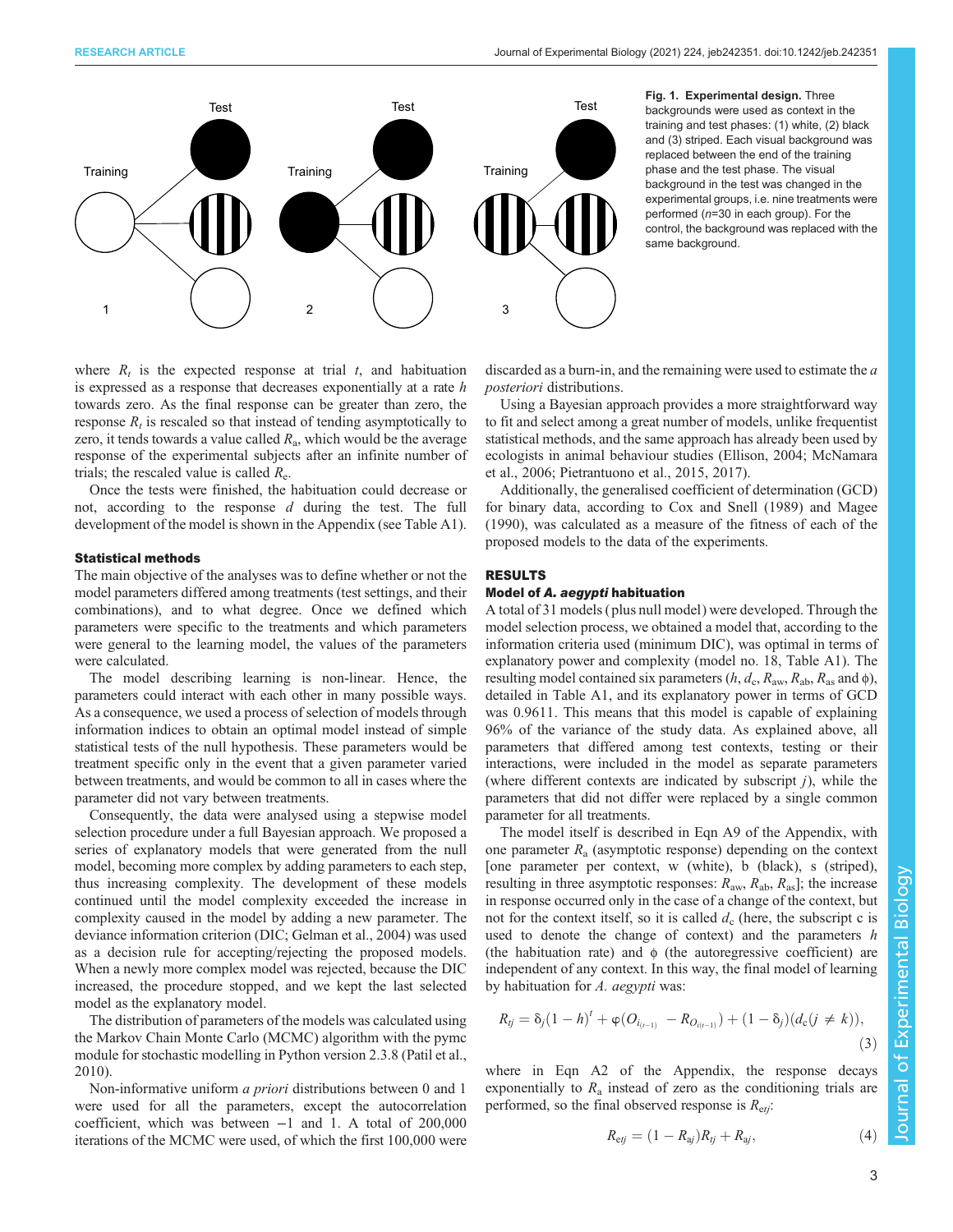<span id="page-2-0"></span>

Fig. 1. Experimental design. Three backgrounds were used as context in the training and test phases: (1) white, (2) black and (3) striped. Each visual background was replaced between the end of the training phase and the test phase. The visual background in the test was changed in the experimental groups, i.e. nine treatments were performed (n=30 in each group). For the control, the background was replaced with the same background.

where  $R_t$  is the expected response at trial t, and habituation is expressed as a response that decreases exponentially at a rate h towards zero. As the final response can be greater than zero, the response  $R_t$  is rescaled so that instead of tending asymptotically to zero, it tends towards a value called  $R_a$ , which would be the average response of the experimental subjects after an infinite number of trials; the rescaled value is called  $R_{\rm e}$ .

Once the tests were finished, the habituation could decrease or not, according to the response d during the test. The full development of the model is shown in the Appendix (see [Table A1\)](#page-5-0).

## Statistical methods

The main objective of the analyses was to define whether or not the model parameters differed among treatments (test settings, and their combinations), and to what degree. Once we defined which parameters were specific to the treatments and which parameters were general to the learning model, the values of the parameters were calculated.

The model describing learning is non-linear. Hence, the parameters could interact with each other in many possible ways. As a consequence, we used a process of selection of models through information indices to obtain an optimal model instead of simple statistical tests of the null hypothesis. These parameters would be treatment specific only in the event that a given parameter varied between treatments, and would be common to all in cases where the parameter did not vary between treatments.

Consequently, the data were analysed using a stepwise model selection procedure under a full Bayesian approach. We proposed a series of explanatory models that were generated from the null model, becoming more complex by adding parameters to each step, thus increasing complexity. The development of these models continued until the model complexity exceeded the increase in complexity caused in the model by adding a new parameter. The deviance information criterion (DIC; [Gelman et al., 2004\)](#page-6-0) was used as a decision rule for accepting/rejecting the proposed models. When a newly more complex model was rejected, because the DIC increased, the procedure stopped, and we kept the last selected model as the explanatory model.

The distribution of parameters of the models was calculated using the Markov Chain Monte Carlo (MCMC) algorithm with the pymc module for stochastic modelling in Python version 2.3.8 [\(Patil et al.,](#page-7-0) [2010](#page-7-0)).

Non-informative uniform a priori distributions between 0 and 1 were used for all the parameters, except the autocorrelation coefficient, which was between −1 and 1. A total of 200,000 iterations of the MCMC were used, of which the first 100,000 were

discarded as a burn-in, and the remaining were used to estimate the a posteriori distributions.

Using a Bayesian approach provides a more straightforward way to fit and select among a great number of models, unlike frequentist statistical methods, and the same approach has already been used by ecologists in animal behaviour studies ([Ellison, 2004](#page-6-0); [McNamara](#page-7-0) [et al., 2006; Pietrantuono et al., 2015, 2017](#page-7-0)).

Additionally, the generalised coefficient of determination (GCD) for binary data, according to [Cox and Snell \(1989\)](#page-6-0) and [Magee](#page-7-0) [\(1990\)](#page-7-0), was calculated as a measure of the fitness of each of the proposed models to the data of the experiments.

# RESULTS

# Model of A. aegypti habituation

A total of 31 models ( plus null model) were developed. Through the model selection process, we obtained a model that, according to the information criteria used (minimum DIC), was optimal in terms of explanatory power and complexity (model no. 18, [Table A1](#page-5-0)). The resulting model contained six parameters ( $h$ ,  $d_c$ ,  $R_{\text{aw}}$ ,  $R_{\text{ab}}$ ,  $R_{\text{as}}$  and  $\phi$ ), detailed in [Table A1](#page-5-0), and its explanatory power in terms of GCD was 0.9611. This means that this model is capable of explaining 96% of the variance of the study data. As explained above, all parameters that differed among test contexts, testing or their interactions, were included in the model as separate parameters (where different contexts are indicated by subscript  $j$ ), while the parameters that did not differ were replaced by a single common parameter for all treatments.

The model itself is described in Eqn A9 of the Appendix, with one parameter  $R_a$  (asymptotic response) depending on the context [one parameter per context, w (white), b (black), s (striped), resulting in three asymptotic responses:  $R_{\text{aw}}$ ,  $R_{\text{ab}}$ ,  $R_{\text{as}}$ ]; the increase in response occurred only in the case of a change of the context, but not for the context itself, so it is called  $d_c$  (here, the subscript c is used to denote the change of context) and the parameters h (the habituation rate) and  $\phi$  (the autoregressive coefficient) are independent of any context. In this way, the final model of learning by habituation for A. aegypti was:

$$
R_{ij} = \delta_j (1 - h)^t + \varphi (O_{i_{(t-1)}} - R_{O_{i(t-1)}}) + (1 - \delta_j) (d_c (j \neq k)),
$$
\n(3)

where in Eqn A2 of the Appendix, the response decays exponentially to  $R_a$  instead of zero as the conditioning trials are performed, so the final observed response is  $R_{\text{e}tj}$ :

$$
R_{\rm ej} = (1 - R_{\rm aj})R_{\rm fj} + R_{\rm aj}, \tag{4}
$$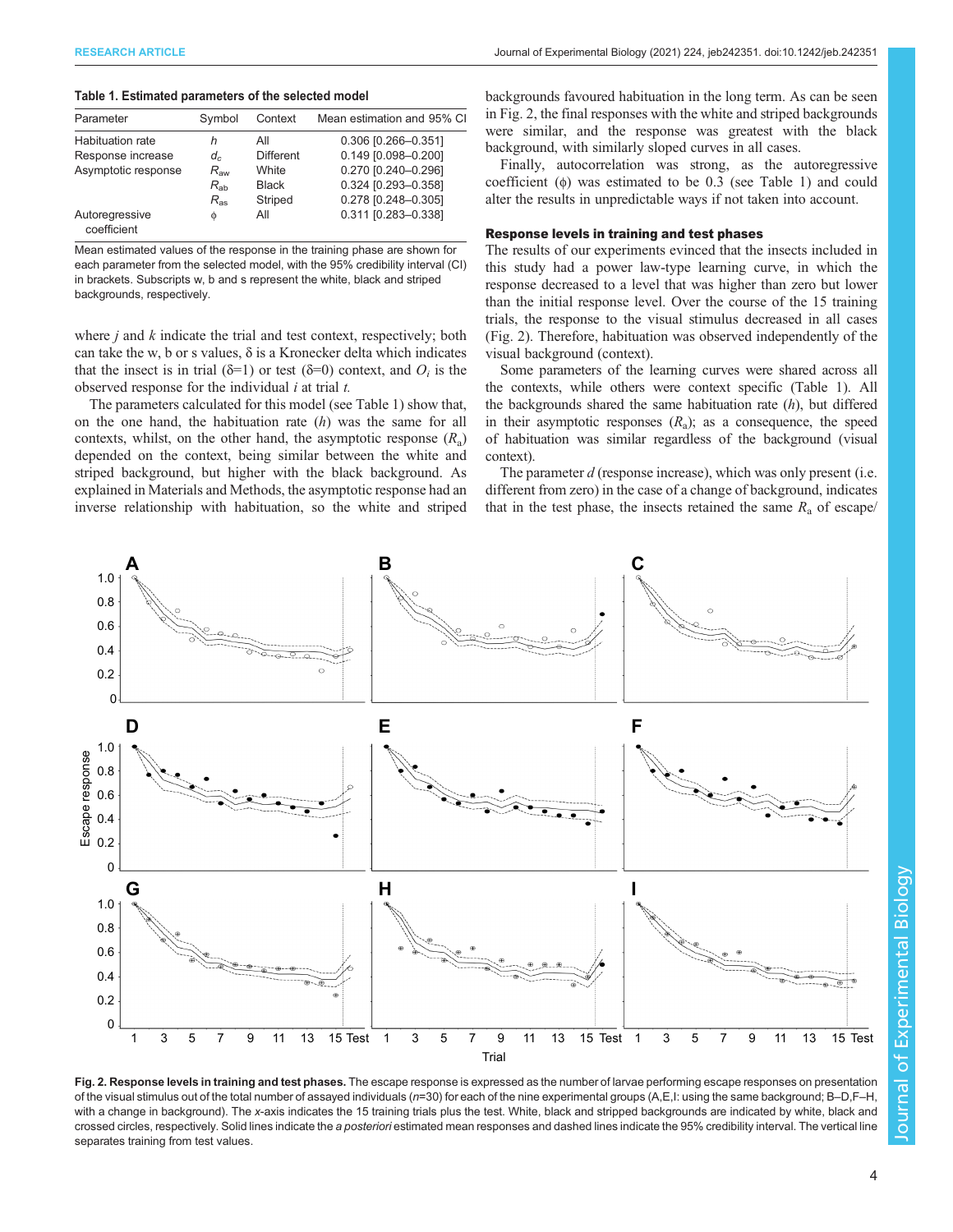## <span id="page-3-0"></span>Table 1. Estimated parameters of the selected model

| Parameter                     | Symbol       | Context          | Mean estimation and 95% CI |
|-------------------------------|--------------|------------------|----------------------------|
| <b>Habituation rate</b>       | h            | Αll              | 0.306 [0.266-0.351]        |
| Response increase             | $d_c$        | <b>Different</b> | 0.149 [0.098-0.200]        |
| Asymptotic response           | $R_{\rm aw}$ | White            | 0.270 [0.240-0.296]        |
|                               | $R_{ab}$     | <b>Black</b>     | 0.324 [0.293-0.358]        |
|                               | $R_{ac}$     | Striped          | 0.278 [0.248-0.305]        |
| Autoregressive<br>coefficient | Ø            | All              | 0.311 [0.283-0.338]        |

Mean estimated values of the response in the training phase are shown for each parameter from the selected model, with the 95% credibility interval (CI) in brackets. Subscripts w, b and s represent the white, black and striped backgrounds, respectively.

where  $j$  and  $k$  indicate the trial and test context, respectively; both can take the w, b or s values,  $\delta$  is a Kronecker delta which indicates that the insect is in trial ( $\delta=1$ ) or test ( $\delta=0$ ) context, and  $O_i$  is the observed response for the individual  $i$  at trial  $t$ .

The parameters calculated for this model (see Table 1) show that, on the one hand, the habituation rate  $(h)$  was the same for all contexts, whilst, on the other hand, the asymptotic response  $(R_a)$ depended on the context, being similar between the white and striped background, but higher with the black background. As explained in Materials and Methods, the asymptotic response had an inverse relationship with habituation, so the white and striped backgrounds favoured habituation in the long term. As can be seen in Fig. 2, the final responses with the white and striped backgrounds were similar, and the response was greatest with the black background, with similarly sloped curves in all cases.

Finally, autocorrelation was strong, as the autoregressive coefficient (ϕ) was estimated to be 0.3 (see Table 1) and could alter the results in unpredictable ways if not taken into account.

# Response levels in training and test phases

The results of our experiments evinced that the insects included in this study had a power law-type learning curve, in which the response decreased to a level that was higher than zero but lower than the initial response level. Over the course of the 15 training trials, the response to the visual stimulus decreased in all cases (Fig. 2). Therefore, habituation was observed independently of the visual background (context).

Some parameters of the learning curves were shared across all the contexts, while others were context specific (Table 1). All the backgrounds shared the same habituation rate  $(h)$ , but differed in their asymptotic responses  $(R_a)$ ; as a consequence, the speed of habituation was similar regardless of the background (visual context).

The parameter d (response increase), which was only present (i.e. different from zero) in the case of a change of background, indicates that in the test phase, the insects retained the same  $R_a$  of escape/



Fig. 2. Response levels in training and test phases. The escape response is expressed as the number of larvae performing escape responses on presentation of the visual stimulus out of the total number of assayed individuals ( $n=30$ ) for each of the nine experimental groups (A,E,I: using the same background; B-D,F-H, with a change in background). The x-axis indicates the 15 training trials plus the test. White, black and stripped backgrounds are indicated by white, black and crossed circles, respectively. Solid lines indicate the a posteriori estimated mean responses and dashed lines indicate the 95% credibility interval. The vertical line separates training from test values.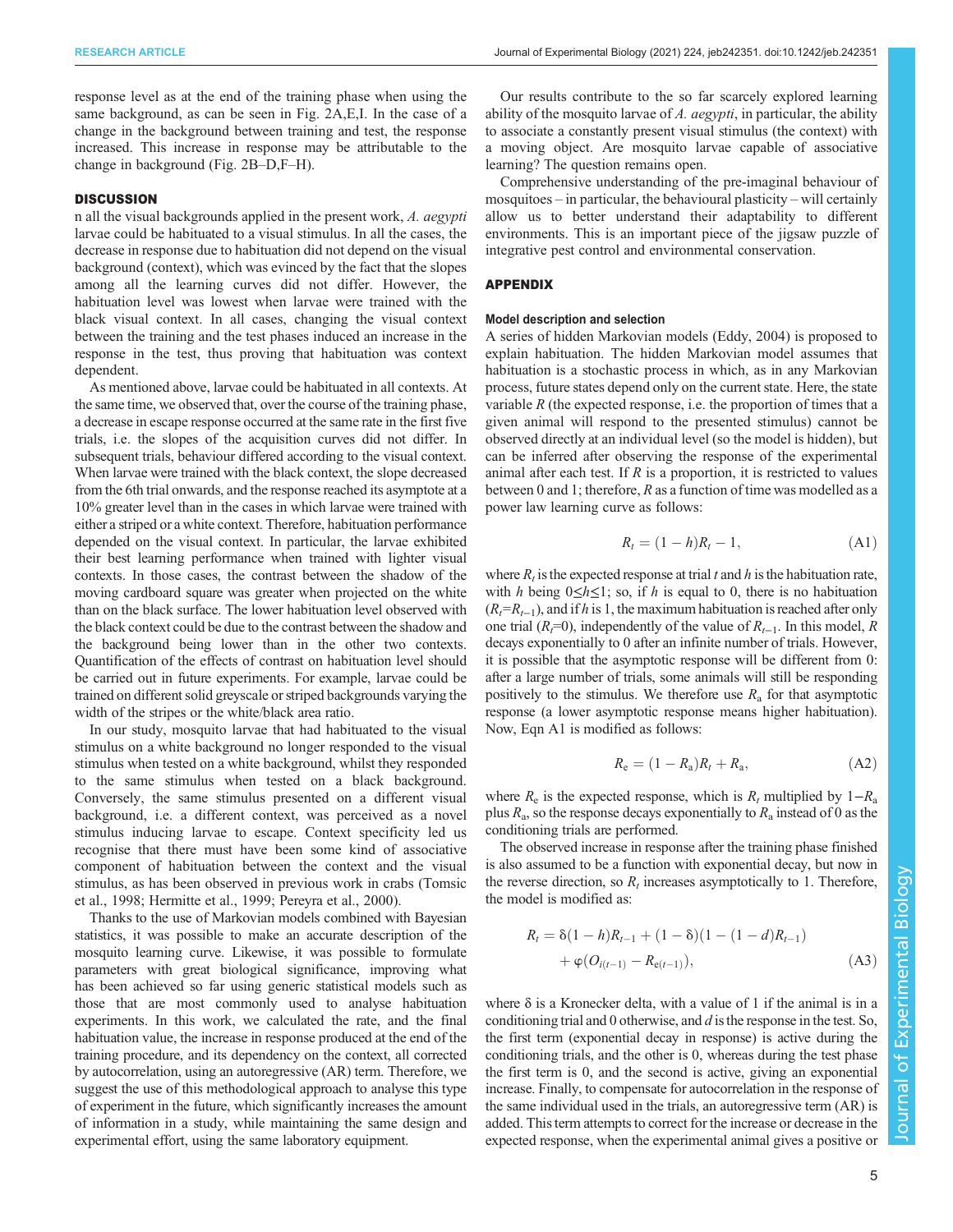response level as at the end of the training phase when using the same background, as can be seen in [Fig. 2A](#page-3-0),E,I. In the case of a change in the background between training and test, the response increased. This increase in response may be attributable to the change in background [\(Fig. 2B](#page-3-0)–D,F–H).

### **DISCUSSION**

n all the visual backgrounds applied in the present work, A. aegypti larvae could be habituated to a visual stimulus. In all the cases, the decrease in response due to habituation did not depend on the visual background (context), which was evinced by the fact that the slopes among all the learning curves did not differ. However, the habituation level was lowest when larvae were trained with the black visual context. In all cases, changing the visual context between the training and the test phases induced an increase in the response in the test, thus proving that habituation was context dependent.

As mentioned above, larvae could be habituated in all contexts. At the same time, we observed that, over the course of the training phase, a decrease in escape response occurred at the same rate in the first five trials, i.e. the slopes of the acquisition curves did not differ. In subsequent trials, behaviour differed according to the visual context. When larvae were trained with the black context, the slope decreased from the 6th trial onwards, and the response reached its asymptote at a 10% greater level than in the cases in which larvae were trained with either a striped or a white context. Therefore, habituation performance depended on the visual context. In particular, the larvae exhibited their best learning performance when trained with lighter visual contexts. In those cases, the contrast between the shadow of the moving cardboard square was greater when projected on the white than on the black surface. The lower habituation level observed with the black context could be due to the contrast between the shadow and the background being lower than in the other two contexts. Quantification of the effects of contrast on habituation level should be carried out in future experiments. For example, larvae could be trained on different solid greyscale or striped backgrounds varying the width of the stripes or the white/black area ratio.

In our study, mosquito larvae that had habituated to the visual stimulus on a white background no longer responded to the visual stimulus when tested on a white background, whilst they responded to the same stimulus when tested on a black background. Conversely, the same stimulus presented on a different visual background, i.e. a different context, was perceived as a novel stimulus inducing larvae to escape. Context specificity led us recognise that there must have been some kind of associative component of habituation between the context and the visual stimulus, as has been observed in previous work in crabs ([Tomsic](#page-7-0) [et al., 1998;](#page-7-0) [Hermitte et al., 1999](#page-6-0); [Pereyra et al., 2000\)](#page-7-0).

Thanks to the use of Markovian models combined with Bayesian statistics, it was possible to make an accurate description of the mosquito learning curve. Likewise, it was possible to formulate parameters with great biological significance, improving what has been achieved so far using generic statistical models such as those that are most commonly used to analyse habituation experiments. In this work, we calculated the rate, and the final habituation value, the increase in response produced at the end of the training procedure, and its dependency on the context, all corrected by autocorrelation, using an autoregressive (AR) term. Therefore, we suggest the use of this methodological approach to analyse this type of experiment in the future, which significantly increases the amount of information in a study, while maintaining the same design and experimental effort, using the same laboratory equipment.

Our results contribute to the so far scarcely explored learning ability of the mosquito larvae of A.  $aegypti$ , in particular, the ability to associate a constantly present visual stimulus (the context) with a moving object. Are mosquito larvae capable of associative learning? The question remains open.

Comprehensive understanding of the pre-imaginal behaviour of mosquitoes – in particular, the behavioural plasticity – will certainly allow us to better understand their adaptability to different environments. This is an important piece of the jigsaw puzzle of integrative pest control and environmental conservation.

# APPENDIX

# Model description and selection

A series of hidden Markovian models [\(Eddy, 2004\)](#page-6-0) is proposed to explain habituation. The hidden Markovian model assumes that habituation is a stochastic process in which, as in any Markovian process, future states depend only on the current state. Here, the state variable  $R$  (the expected response, i.e. the proportion of times that a given animal will respond to the presented stimulus) cannot be observed directly at an individual level (so the model is hidden), but can be inferred after observing the response of the experimental animal after each test. If  $R$  is a proportion, it is restricted to values between 0 and 1; therefore, R as a function of time was modelled as a power law learning curve as follows:

$$
R_t = (1 - h)R_t - 1,
$$
 (A1)

where  $R_t$  is the expected response at trial t and h is the habituation rate, with h being  $0 \le h \le 1$ ; so, if h is equal to 0, there is no habituation  $(R<sub>t</sub>=R<sub>t-1</sub>)$ , and if h is 1, the maximum habituation is reached after only one trial ( $R<sub>i</sub>=0$ ), independently of the value of  $R<sub>i-1</sub>$ . In this model, R decays exponentially to 0 after an infinite number of trials. However, it is possible that the asymptotic response will be different from 0: after a large number of trials, some animals will still be responding positively to the stimulus. We therefore use  $R_a$  for that asymptotic response (a lower asymptotic response means higher habituation). Now, Eqn A1 is modified as follows:

$$
R_e = (1 - R_a)R_t + R_a,
$$
 (A2)

where  $R_e$  is the expected response, which is  $R_t$  multiplied by 1– $R_a$ plus  $R_a$ , so the response decays exponentially to  $R_a$  instead of 0 as the conditioning trials are performed.

The observed increase in response after the training phase finished is also assumed to be a function with exponential decay, but now in the reverse direction, so  $R_t$  increases asymptotically to 1. Therefore, the model is modified as:

$$
R_{t} = \delta(1-h)R_{t-1} + (1-\delta)(1-(1-d)R_{t-1})
$$
  
+  $\varphi(O_{i(t-1)} - R_{e(t-1)}),$  (A3)

where  $\delta$  is a Kronecker delta, with a value of 1 if the animal is in a conditioning trial and 0 otherwise, and d is the response in the test. So, the first term (exponential decay in response) is active during the conditioning trials, and the other is 0, whereas during the test phase the first term is 0, and the second is active, giving an exponential increase. Finally, to compensate for autocorrelation in the response of the same individual used in the trials, an autoregressive term (AR) is added. This term attempts to correct for the increase or decrease in the expected response, when the experimental animal gives a positive or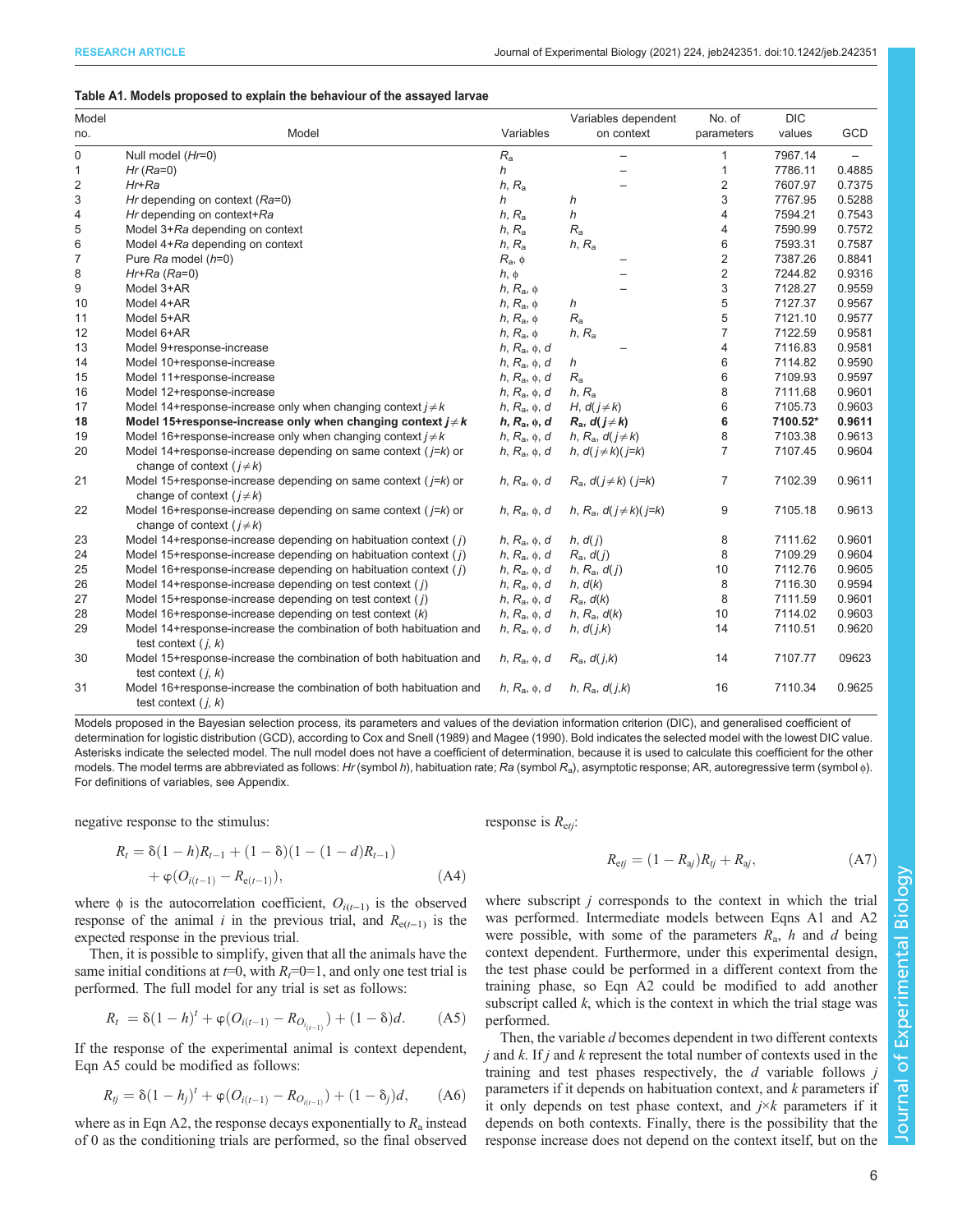# <span id="page-5-0"></span>Table A1. Models proposed to explain the behaviour of the assayed larvae

| Model |                                                                                                     |                   | Variables dependent                    | No. of         | <b>DIC</b> |        |
|-------|-----------------------------------------------------------------------------------------------------|-------------------|----------------------------------------|----------------|------------|--------|
| no.   | Model                                                                                               | Variables         | on context                             | parameters     | values     | GCD    |
| 0     | Null model (Hr=0)                                                                                   | $R_{\rm a}$       |                                        | 1              | 7967.14    |        |
| 1     | $Hr$ ( $Ra=0$ )                                                                                     | h                 |                                        | $\mathbf{1}$   | 7786.11    | 0.4885 |
| 2     | Hr+Ra                                                                                               | $h, R_a$          |                                        | 2              | 7607.97    | 0.7375 |
| 3     | Hr depending on context (Ra=0)                                                                      | h                 | h                                      | 3              | 7767.95    | 0.5288 |
| 4     | Hr depending on context+Ra                                                                          | $h, R_a$          | h                                      | 4              | 7594.21    | 0.7543 |
| 5     | Model 3+Ra depending on context                                                                     | $h, R_a$          | $R_{\rm a}$                            | 4              | 7590.99    | 0.7572 |
| 6     | Model 4+Ra depending on context                                                                     | $h, R_a$          | $h, R_a$                               | 6              | 7593.31    | 0.7587 |
| 7     | Pure Ra model (h=0)                                                                                 | $R_{\rm a}, \phi$ |                                        | 2              | 7387.26    | 0.8841 |
| 8     | $Hr+Ra (Ra=0)$                                                                                      | $h, \phi$         |                                        | $\overline{2}$ | 7244.82    | 0.9316 |
| 9     | Model 3+AR                                                                                          | $h, R_a, \phi$    |                                        | 3              | 7128.27    | 0.9559 |
| 10    | Model 4+AR                                                                                          | $h, R_a, \phi$    | h                                      | 5              | 7127.37    | 0.9567 |
| 11    | Model 5+AR                                                                                          | $h, R_a, \phi$    | $R_{\rm a}$                            | 5              | 7121.10    | 0.9577 |
| 12    | Model 6+AR                                                                                          | $h, R_a, \phi$    | $h, R_a$                               | $\overline{7}$ | 7122.59    | 0.9581 |
| 13    | Model 9+response-increase                                                                           | $h, R_a, \phi, d$ |                                        | 4              | 7116.83    | 0.9581 |
| 14    | Model 10+response-increase                                                                          | $h, R_a, \phi, d$ | h                                      | 6              | 7114.82    | 0.9590 |
| 15    | Model 11+response-increase                                                                          | $h, R_a, \phi, d$ | $R_{\rm a}$                            | 6              | 7109.93    | 0.9597 |
| 16    | Model 12+response-increase                                                                          | $h, R_a, \phi, d$ | $h, R_a$                               | 8              | 7111.68    | 0.9601 |
| 17    | Model 14+response-increase only when changing context $j \neq k$                                    | $h, R_a, \phi, d$ | H, $d(j \neq k)$                       | 6              | 7105.73    | 0.9603 |
| 18    | Model 15+response-increase only when changing context $j \neq k$                                    | $h, R_a, \phi, d$ | $R_a$ , $d(j \neq k)$                  | 6              | 7100.52*   | 0.9611 |
| 19    | Model 16+response-increase only when changing context $j \neq k$                                    | $h, R_a, \phi, d$ | h, R <sub>a</sub> , $d(j \neq k)$      | 8              | 7103.38    | 0.9613 |
| 20    | Model 14+response-increase depending on same context ( $j=k$ ) or<br>change of context $(j \neq k)$ | $h, R_a, \phi, d$ | h, $d(j\neq k)(j=k)$                   | $\overline{7}$ | 7107.45    | 0.9604 |
| 21    | Model 15+response-increase depending on same context ( $j=k$ ) or<br>change of context $(j \neq k)$ | $h, R_a, \phi, d$ | $R_a$ , $d(j \neq k)$ (j=k)            | 7              | 7102.39    | 0.9611 |
| 22    | Model 16+response-increase depending on same context ( $j=k$ ) or<br>change of context $(j \neq k)$ | $h, R_a, \phi, d$ | h, R <sub>a</sub> , $d(j \neq k)(j=k)$ | 9              | 7105.18    | 0.9613 |
| 23    | Model 14+response-increase depending on habituation context (j)                                     | $h, R_a, \phi, d$ | h, d(j)                                | 8              | 7111.62    | 0.9601 |
| 24    | Model 15+response-increase depending on habituation context (i)                                     | $h, R_a, \phi, d$ | $R_a$ , $d(j)$                         | 8              | 7109.29    | 0.9604 |
| 25    | Model 16+response-increase depending on habituation context ( $i$ )                                 | $h, R_a, \phi, d$ | $h, R_a, d(j)$                         | 10             | 7112.76    | 0.9605 |
| 26    | Model 14+response-increase depending on test context $(j)$                                          | $h, R_a, \phi, d$ | h, d(k)                                | 8              | 7116.30    | 0.9594 |
| 27    | Model 15+response-increase depending on test context $(j)$                                          | $h, R_a, \phi, d$ | $R_a$ , $d(k)$                         | 8              | 7111.59    | 0.9601 |
| 28    | Model 16+response-increase depending on test context $(k)$                                          | $h, R_a, \phi, d$ | $h, R_a, d(k)$                         | 10             | 7114.02    | 0.9603 |
| 29    | Model 14+response-increase the combination of both habituation and<br>test context $(i, k)$         | $h, R_a, \phi, d$ | h, d(j,k)                              | 14             | 7110.51    | 0.9620 |
| 30    | Model 15+response-increase the combination of both habituation and<br>test context $(i, k)$         | $h, R_a, \phi, d$ | $R_a$ , $d(j,k)$                       | 14             | 7107.77    | 09623  |
| 31    | Model 16+response-increase the combination of both habituation and<br>test context $(i, k)$         | $h, R_a, \phi, d$ | h, $R_a$ , $d(j,k)$                    | 16             | 7110.34    | 0.9625 |

Models proposed in the Bayesian selection process, its parameters and values of the deviation information criterion (DIC), and generalised coefficient of determination for logistic distribution (GCD), according to [Cox](#page-6-0) and Snell (1989) and [Magee \(1990\)](#page-7-0). Bold indicates the selected model with the lowest DIC value. Asterisks indicate the selected model. The null model does not have a coefficient of determination, because it is used to calculate this coefficient for the other models. The model terms are abbreviated as follows: Hr (symbol h), habituation rate; Ra (symbol R<sub>a</sub>), asymptotic response; AR, autoregressive term (symbol  $\phi$ ). For definitions of variables, see Appendix.

negative response to the stimulus:

$$
R_{t} = \delta(1-h)R_{t-1} + (1-\delta)(1-(1-d)R_{t-1}) + \varphi(O_{i(t-1)} - R_{e(t-1)}),
$$
\n(A4)

where  $\phi$  is the autocorrelation coefficient,  $O_{i(t-1)}$  is the observed response of the animal *i* in the previous trial, and  $R_{e(t-1)}$  is the expected response in the previous trial.

Then, it is possible to simplify, given that all the animals have the same initial conditions at  $t=0$ , with  $R<sub>t</sub>=0=1$ , and only one test trial is performed. The full model for any trial is set as follows:

$$
R_t = \delta(1-h)^t + \varphi(O_{i(t-1)} - R_{O_{i(t-1)}}) + (1-\delta)d. \tag{A5}
$$

If the response of the experimental animal is context dependent, Eqn A5 could be modified as follows:

$$
R_{ij} = \delta(1 - h_j)^t + \varphi(O_{i(t-1)} - R_{O_{i(t-1)}}) + (1 - \delta_j)d, \qquad (A6)
$$

where as in Eqn A2, the response decays exponentially to  $R_a$  instead of 0 as the conditioning trials are performed, so the final observed response is  $R_{\text{e}ti}$ :

$$
R_{\rm ej} = (1 - R_{\rm aj})R_{\rm ij} + R_{\rm aj}, \tag{A7}
$$

where subscript  $j$  corresponds to the context in which the trial was performed. Intermediate models between Eqns A1 and A2 were possible, with some of the parameters  $R_a$ , h and d being context dependent. Furthermore, under this experimental design, the test phase could be performed in a different context from the training phase, so Eqn A2 could be modified to add another subscript called  $k$ , which is the context in which the trial stage was performed.

Then, the variable d becomes dependent in two different contexts  $j$  and  $k$ . If  $j$  and  $k$  represent the total number of contexts used in the training and test phases respectively, the  $d$  variable follows  $j$ parameters if it depends on habituation context, and  $k$  parameters if it only depends on test phase context, and  $j \times k$  parameters if it depends on both contexts. Finally, there is the possibility that the response increase does not depend on the context itself, but on the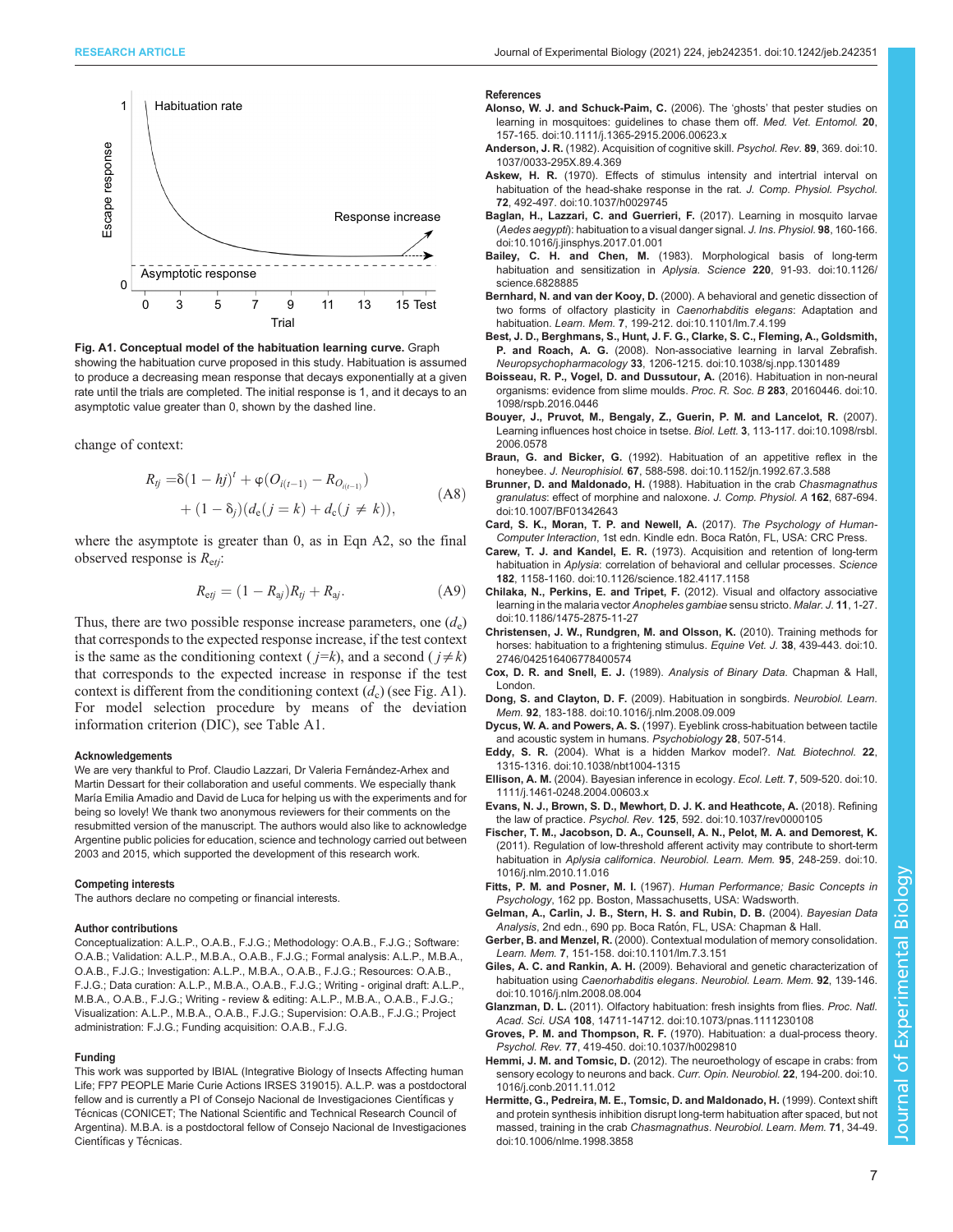<span id="page-6-0"></span>

Fig. A1. Conceptual model of the habituation learning curve. Graph showing the habituation curve proposed in this study. Habituation is assumed to produce a decreasing mean response that decays exponentially at a given rate until the trials are completed. The initial response is 1, and it decays to an asymptotic value greater than 0, shown by the dashed line.

change of context:

$$
R_{ij} = \delta(1 - hj)^{t} + \varphi (O_{i(t-1)} - R_{O_{i(t-1)}})
$$
  
+  $(1 - \delta_j)(d_e(j = k) + d_c(j \neq k)),$  (A8)

where the asymptote is greater than 0, as in Eqn A2, so the final observed response is  $R_{\text{e}ti}$ :

$$
R_{\rm ej} = (1 - R_{\rm aj})R_{\rm tj} + R_{\rm aj}.\tag{A9}
$$

Thus, there are two possible response increase parameters, one  $(d_e)$ that corresponds to the expected response increase, if the test context is the same as the conditioning context ( $j=k$ ), and a second ( $j \neq k$ ) that corresponds to the expected increase in response if the test context is different from the conditioning context  $(d_c)$  (see Fig. A1). For model selection procedure by means of the deviation information criterion (DIC), see [Table A1.](#page-5-0)

#### Acknowledgements

We are very thankful to Prof. Claudio Lazzari, Dr Valeria Fernández-Arhex and Martin Dessart for their collaboration and useful comments. We especially thank María Emilia Amadio and David de Luca for helping us with the experiments and for being so lovely! We thank two anonymous reviewers for their comments on the resubmitted version of the manuscript. The authors would also like to acknowledge Argentine public policies for education, science and technology carried out between 2003 and 2015, which supported the development of this research work.

#### Competing interests

The authors declare no competing or financial interests.

#### Author contributions

Conceptualization: A.L.P., O.A.B., F.J.G.; Methodology: O.A.B., F.J.G.; Software: O.A.B.; Validation: A.L.P., M.B.A., O.A.B., F.J.G.; Formal analysis: A.L.P., M.B.A., O.A.B., F.J.G.; Investigation: A.L.P., M.B.A., O.A.B., F.J.G.; Resources: O.A.B., F.J.G.; Data curation: A.L.P., M.B.A., O.A.B., F.J.G.; Writing - original draft: A.L.P., M.B.A., O.A.B., F.J.G.; Writing - review & editing: A.L.P., M.B.A., O.A.B., F.J.G.; Visualization: A.L.P., M.B.A., O.A.B., F.J.G.; Supervision: O.A.B., F.J.G.; Project administration: F.J.G.; Funding acquisition: O.A.B., F.J.G.

# Funding

This work was supported by IBIAL (Integrative Biology of Insects Affecting human Life; [FP7 PEOPLE Marie Curie Actions IRSES](https://FP7 PEOPLE Marie Curie Actions IRSES) 319015). A.L.P. was a postdoctoral fellow and is currently a PI of Consejo Nacional de Investigaciones Científicas y Técnicas (CONICET; The National Scientific and Technical Research Council of Argentina). M.B.A. is a postdoctoral fellow of Consejo Nacional de Investigaciones Científicas y Técnicas.

#### References

- [Alonso, W. J. and Schuck-Paim, C.](https://doi.org/10.1111/j.1365-2915.2006.00623.x) (2006). The 'ghosts' that pester studies on [learning in mosquitoes: guidelines to chase them off.](https://doi.org/10.1111/j.1365-2915.2006.00623.x) Med. Vet. Entomol. 20, [157-165. doi:10.1111/j.1365-2915.2006.00623.x](https://doi.org/10.1111/j.1365-2915.2006.00623.x)
- Anderson, J. R. [\(1982\). Acquisition of cognitive skill.](https://doi.org/10.1037/0033-295X.89.4.369) Psychol. Rev. 89, 369. doi:10. [1037/0033-295X.89.4.369](https://doi.org/10.1037/0033-295X.89.4.369)
- Askew, H. R. [\(1970\). Effects of stimulus intensity and intertrial interval on](https://doi.org/10.1037/h0029745) [habituation of the head-shake response in the rat.](https://doi.org/10.1037/h0029745) J. Comp. Physiol. Psychol. 72[, 492-497. doi:10.1037/h0029745](https://doi.org/10.1037/h0029745)
- [Baglan, H., Lazzari, C. and Guerrieri, F.](https://doi.org/10.1016/j.jinsphys.2017.01.001) (2017). Learning in mosquito larvae (Aedes aegypti[\): habituation to a visual danger signal.](https://doi.org/10.1016/j.jinsphys.2017.01.001) J. Ins. Physiol. 98, 160-166. [doi:10.1016/j.jinsphys.2017.01.001](https://doi.org/10.1016/j.jinsphys.2017.01.001)
- Bailey, C. H. and Chen, M. [\(1983\). Morphological basis of long-term](https://doi.org/10.1126/science.6828885) [habituation and sensitization in](https://doi.org/10.1126/science.6828885) Aplysia. Science 220, 91-93. doi:10.1126/ [science.6828885](https://doi.org/10.1126/science.6828885)
- Bernhard, N. and van der Kooy, D. [\(2000\). A behavioral and genetic dissection of](https://doi.org/10.1101/lm.7.4.199) [two forms of olfactory plasticity in](https://doi.org/10.1101/lm.7.4.199) Caenorhabditis elegans: Adaptation and habituation. Learn. Mem. 7[, 199-212. doi:10.1101/lm.7.4.199](https://doi.org/10.1101/lm.7.4.199)
- [Best, J. D., Berghmans, S., Hunt, J. F. G., Clarke, S. C., Fleming, A., Goldsmith,](https://doi.org/10.1038/sj.npp.1301489) P. and Roach, A. G. [\(2008\). Non-associative learning in larval Zebrafish.](https://doi.org/10.1038/sj.npp.1301489) Neuropsychopharmacology 33[, 1206-1215. doi:10.1038/sj.npp.1301489](https://doi.org/10.1038/sj.npp.1301489)
- [Boisseau, R. P., Vogel, D. and Dussutour, A.](https://doi.org/10.1098/rspb.2016.0446) (2016). Habituation in non-neural [organisms: evidence from slime moulds.](https://doi.org/10.1098/rspb.2016.0446) Proc. R. Soc. B 283, 20160446. doi:10. [1098/rspb.2016.0446](https://doi.org/10.1098/rspb.2016.0446)
- [Bouyer, J., Pruvot, M., Bengaly, Z., Guerin, P. M. and Lancelot, R.](https://doi.org/10.1098/rsbl.2006.0578) (2007). [Learning influences host choice in tsetse.](https://doi.org/10.1098/rsbl.2006.0578) Biol. Lett. 3, 113-117. doi:10.1098/rsbl. [2006.0578](https://doi.org/10.1098/rsbl.2006.0578)
- Braun, G. and Bicker, G. [\(1992\). Habituation of an appetitive reflex in the](https://doi.org/10.1152/jn.1992.67.3.588) honeybee. J. Neurophisiol. 67[, 588-598. doi:10.1152/jn.1992.67.3.588](https://doi.org/10.1152/jn.1992.67.3.588)
- [Brunner, D. and Maldonado, H.](https://doi.org/10.1007/BF01342643) (1988). Habituation in the crab Chasmagnathus granulatus[: effect of morphine and naloxone.](https://doi.org/10.1007/BF01342643) J. Comp. Physiol. A 162, 687-694. [doi:10.1007/BF01342643](https://doi.org/10.1007/BF01342643)
- Card, S. K., Moran, T. P. and Newell, A. (2017). The Psychology of Human-Computer Interaction, 1st edn. Kindle edn. Boca Ratón, FL, USA: CRC Press.
- Carew, T. J. and Kandel, E. R. [\(1973\). Acquisition and retention of long-term](https://doi.org/10.1126/science.182.4117.1158) habituation in Aplysia[: correlation of behavioral and cellular processes.](https://doi.org/10.1126/science.182.4117.1158) Science 182[, 1158-1160. doi:10.1126/science.182.4117.1158](https://doi.org/10.1126/science.182.4117.1158)
- [Chilaka, N., Perkins, E. and Tripet, F.](https://doi.org/10.1186/1475-2875-11-27) (2012). Visual and olfactory associative [learning in the malaria vector](https://doi.org/10.1186/1475-2875-11-27) Anopheles gambiae sensu stricto. Malar. J. 11, 1-27. [doi:10.1186/1475-2875-11-27](https://doi.org/10.1186/1475-2875-11-27)
- [Christensen, J. W., Rundgren, M. and Olsson, K.](https://doi.org/10.2746/042516406778400574) (2010). Training methods for [horses: habituation to a frightening stimulus.](https://doi.org/10.2746/042516406778400574) Equine Vet. J. 38, 439-443. doi:10. [2746/042516406778400574](https://doi.org/10.2746/042516406778400574)
- Cox, D. R. and Snell, E. J. (1989). Analysis of Binary Data. Chapman & Hall, London.
- Dong, S. and Clayton, D. F. [\(2009\). Habituation in songbirds.](https://doi.org/10.1016/j.nlm.2008.09.009) Neurobiol. Learn. Mem. 92[, 183-188. doi:10.1016/j.nlm.2008.09.009](https://doi.org/10.1016/j.nlm.2008.09.009)
- Dycus, W. A. and Powers, A. S. (1997). Eyeblink cross-habituation between tactile and acoustic system in humans. Psychobiology 28, 507-514.
- Eddy, S. R. [\(2004\). What is a hidden Markov model?.](https://doi.org/10.1038/nbt1004-1315) Nat. Biotechnol. 22, [1315-1316. doi:10.1038/nbt1004-1315](https://doi.org/10.1038/nbt1004-1315)
- Ellison, A. M. [\(2004\). Bayesian inference in ecology.](https://doi.org/10.1111/j.1461-0248.2004.00603.x) Ecol. Lett. 7, 509-520. doi:10. [1111/j.1461-0248.2004.00603.x](https://doi.org/10.1111/j.1461-0248.2004.00603.x)
- [Evans, N. J., Brown, S. D., Mewhort, D. J. K. and Heathcote, A.](https://doi.org/10.1037/rev0000105) (2018). Refining the law of practice. Psychol. Rev. 125[, 592. doi:10.1037/rev0000105](https://doi.org/10.1037/rev0000105)
- [Fischer, T. M., Jacobson, D. A., Counsell, A. N., Pelot, M. A. and Demorest, K.](https://doi.org/10.1016/j.nlm.2010.11.016) [\(2011\). Regulation of low-threshold afferent activity may contribute to short-term](https://doi.org/10.1016/j.nlm.2010.11.016) habituation in Aplysia californica. [Neurobiol. Learn. Mem.](https://doi.org/10.1016/j.nlm.2010.11.016) 95, 248-259, doi:10. [1016/j.nlm.2010.11.016](https://doi.org/10.1016/j.nlm.2010.11.016)
- Fitts, P. M. and Posner, M. I. (1967). Human Performance; Basic Concepts in Psychology, 162 pp. Boston, Massachusetts, USA: Wadsworth.
- Gelman, A., Carlin, J. B., Stern, H. S. and Rubin, D. B. (2004). Bayesian Data Analysis, 2nd edn., 690 pp. Boca Ratón, FL, USA: Chapman & Hall.
- Gerber, B. and Menzel, R. [\(2000\). Contextual modulation of memory consolidation.](https://doi.org/10.1101/lm.7.3.151) Learn. Mem. 7[, 151-158. doi:10.1101/lm.7.3.151](https://doi.org/10.1101/lm.7.3.151)
- Giles, A. C. and Rankin, A. H. [\(2009\). Behavioral and genetic characterization of](https://doi.org/10.1016/j.nlm.2008.08.004) habituation using [Caenorhabditis elegans](https://doi.org/10.1016/j.nlm.2008.08.004). Neurobiol. Learn. Mem. 92, 139-146. [doi:10.1016/j.nlm.2008.08.004](https://doi.org/10.1016/j.nlm.2008.08.004)
- Glanzman, D. L. [\(2011\). Olfactory habituation: fresh insights from flies.](https://doi.org/10.1073/pnas.1111230108) Proc. Natl. Acad. Sci. USA 108[, 14711-14712. doi:10.1073/pnas.1111230108](https://doi.org/10.1073/pnas.1111230108)
- Groves, P. M. and Thompson, R. F. [\(1970\). Habituation: a dual-process theory.](https://doi.org/10.1037/h0029810) Psychol. Rev. 77[, 419-450. doi:10.1037/h0029810](https://doi.org/10.1037/h0029810)
- Hemmi, J. M. and Tomsic, D. [\(2012\). The neuroethology of escape in crabs: from](https://doi.org/10.1016/j.conb.2011.11.012) [sensory ecology to neurons and back.](https://doi.org/10.1016/j.conb.2011.11.012) Curr. Opin. Neurobiol. 22, 194-200. doi:10. [1016/j.conb.2011.11.012](https://doi.org/10.1016/j.conb.2011.11.012)
- [Hermitte, G., Pedreira, M. E., Tomsic, D. and Maldonado, H.](https://doi.org/10.1006/nlme.1998.3858) (1999). Context shift [and protein synthesis inhibition disrupt long-term habituation after spaced, but not](https://doi.org/10.1006/nlme.1998.3858) [massed, training in the crab](https://doi.org/10.1006/nlme.1998.3858) Chasmagnathus. Neurobiol. Learn. Mem. 71, 34-49. [doi:10.1006/nlme.1998.3858](https://doi.org/10.1006/nlme.1998.3858)